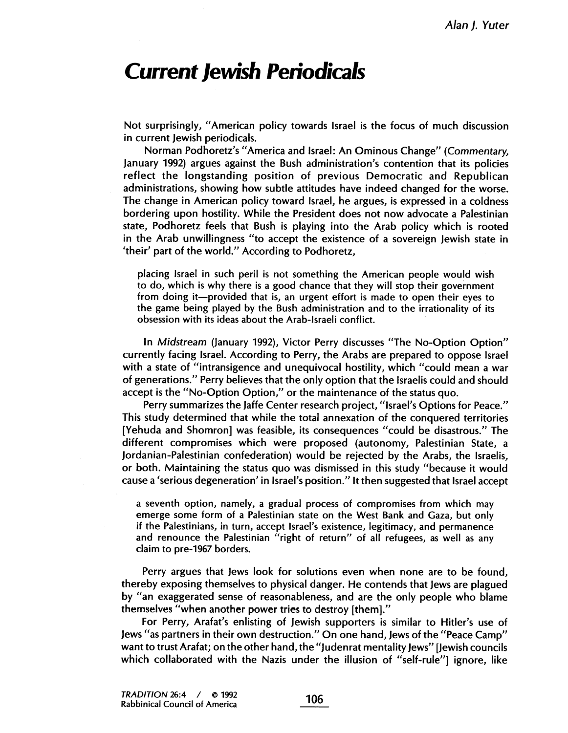## Current Jewish Periodicals

Not surprisingly, "American policy towards Israel is the focus of much discussion in current Jewish periodicals.

Norman Podhoretz's "America and Israel: An Ominous Change" (Commentary, January 1992) argues against the Bush administration's contention that its policies reflect the longstanding position of previous Democratic and Republican administrations, showing how subtle attitudes have indeed changed for the worse. The change in American policy toward Israel, he argues, is expressed in a coldness bordering upon hostility. While the President does not now advocate a Palestinian state, Podhoretz feels that Bush is playing into the Arab policy which is rooted in the Arab unwillingness "to accept the existence of a sovereign Jewish state in 'their' part of the world." According to Podhoretz,

placing Israel in such peril is not something the American people would wish to do, which is why there is a good chance that they will stop their government from doing it-provided that is, an urgent effort is made to open their eyes to the game being played by the Bush administration and to the irrationality of its obsession with its ideas about the Arab-Israeli conflict.

In Midstream (January 1992), Victor Perry discusses "The No-Option Option" currently facing IsraeL. According to Perry, the Arabs are prepared to oppose Israel with a state of "intransigence and unequivocal hostility, which "could mean a war of generations." Perry believes that the only option that the Israelis could and should accept is the "No-Option Option," or the maintenance of the status quo.

Perry summarizes the Jaffe Center research project, "Israel's Options for Peace." This study determined that while the total annexation of the conquered territories (Yehuda and Shomron) was feasible, its consequences "could be disastrous." The different compromises which were proposed (autonomy, Palestinian State, a Jordanian-Palestinian confederation) would be rejected by the Arabs, the Israelis, or both. Maintaining the status quo was dismissed in this study "because it would cause a 'serious degeneration' in Israel's position." It then suggested that Israel accept

a seventh option, namely, a gradual process of compromises from which may emerge some form of a Palestinian state on the West Bank and Gaza, but only if the Palestinians, in turn, accept Israel's existence, legitimacy, and permanence and renounce the Palestinian "right of return" of all refugees, as well as any claim to pre-1967 borders.

Perry argues that Jews look for solutions even when none are to be found, thereby exposing themselves to physical danger. He contends that Jews are plagued by "an exaggerated sense of reasonableness, and are the only people who blame themselves "when another power tries to destroy (them)."

For Perry, Arafat's enlisting of Jewish supporters is similar to Hitler's use of Jews "as partners in their own destruction." On one hand, Jews of the "Peace Camp" want to trust Arafat; on the other hand, the "Judenrat mentality Jews" (Jewish councils which collaborated with the Nazis under the illusion of "self-rule" ignore, like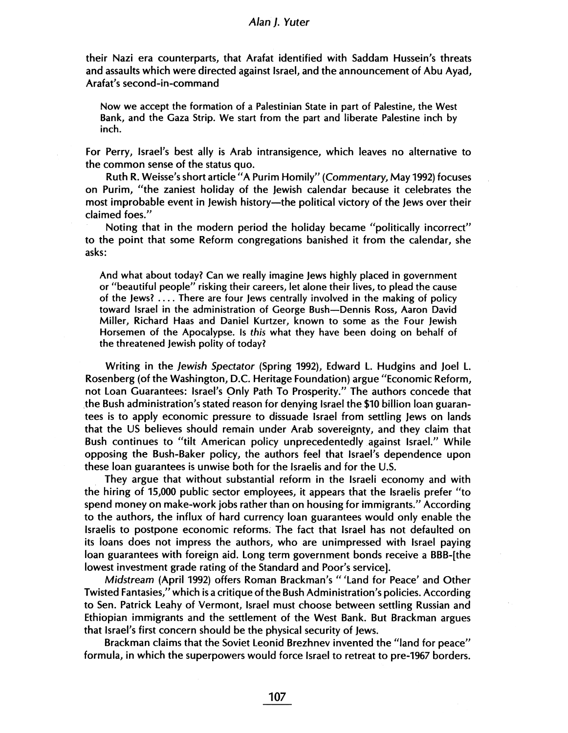## Alan I. Yuter

their Nazi era counterparts, that Arafat identified with Saddam Hussein's threats and assaults which were directed against Israel, and the announcement of Abu Ayad, Arafat's second-in-command

Now we accept the formation of a Palestinian State in part of Palestine, the West Bank, and the Gaza Strip. We start from the part and liberate Palestine inch by inch.

For Perry, Israel's best ally is Arab intransigence, which leaves no alternative to the common sense of the status quo.

Ruth R. Weisse's short article "A Purim Homily" (Commentary, May 1992) focuses on Purim, "the zaniest holiday of the Jewish calendar because it celebrates the most improbable event in Jewish history—the political victory of the Jews over their claimed foes."

Noting that in the modern period the holiday became "politically incorrect" to the point that some Reform congregations banished it from the calendar, she asks:

And what about today? Can we really imagine Jews highly placed in government or "beautiful people" risking their careers, let alone their lives, to plead the cause of the Jews? . . . . There are four Jews centrally involved in the making of policy toward Israel in the administration of George Bush-Dennis Ross, Aaron David Miller, Richard Haas and Daniel Kurtzer, known to some as the Four Jewish Horsemen of the Apocalypse. Is this what they have been doing on behalf of the threatened Jewish polity of today?

Writing in the Jewish Spectator (Spring 1992), Edward L. Hudgins and Joel L. Rosenberg (of the Washington, D.C. Heritage Foundation) argue "Economic Reform, not Loan Guarantees: Israel's Only Path To Prosperity." The authors concede that the Bush administration's stated reason for denying Israel the \$10 bilion loan guarantees is to apply economic pressure to dissuade Israel from settling Jews on lands that the US believes should remain under Arab sovereignty, and they claim that Bush continues to "tilt American policy unprecedentedly against Israel." While opposing the Bush-Baker policy, the authors feel that Israel's dependence upon these loan guarantees is unwise both for the Israelis and for the U.S.

They argue that without substantial reform in the Israeli economy and with the hiring of 15,000 public sector employees, it appears that the Israelis prefer "to spend money on make-work jobs rather than on housing for immigrants." According to the authors, the influx of hard currency loan guarantees would only enable the Israelis to postpone economic reforms. The fact that Israel has not defaulted on its loans does not impress the authors, who are unimpressed with Israel paying loan guarantees with foreign aid. Long term government bonds receive a BBB-(the lowest investment grade rating of the Standard and Poor's service).

Midstream (April 1992) offers Roman Brackman's "'Land for Peace' and Other Twisted Fantasies," which is a critique of the Bush Administration's policies. According to Sen. Patrick Leahy of Vermont, Israel must choose between settling Russian and Ethiopian immigrants and the settlement of the West Bank. But Brackman argues that Israel's first concern should be the physical security of Jews.

Brackman claims that the Soviet Leonid Brezhnev invented the "land for peace" formula, in which the superpowers would force Israel to retreat to pre-1967 borders.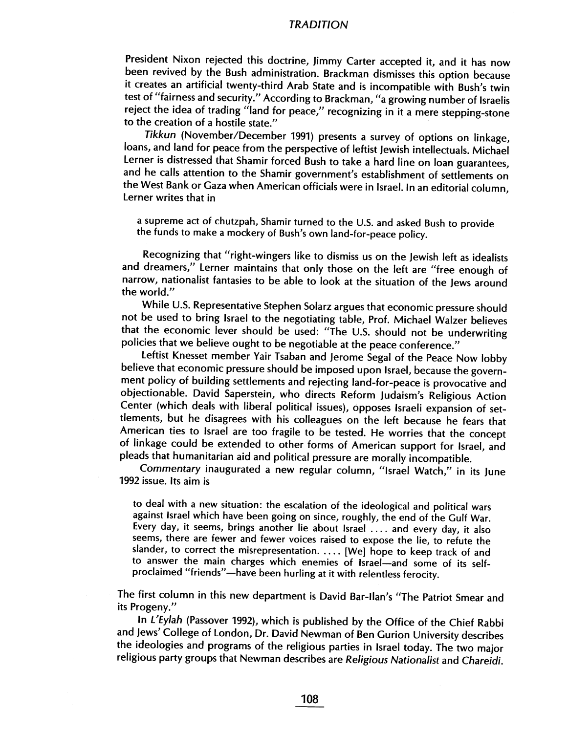## TRADITION

President Nixon rejected this doctrine, Jimmy Carter accepted it, and it has now been revived by the Bush administration. Brackman dismisses this option because it creates an artificial twenty-third Arab State and is incompatible with Bush's twin test of "fairness and security." According to Brackman, "a growing number of Israelis reject the idea of trading "land for peace," recognizing in it a mere stepping-stone to the creation of a hostile state."

Tikkun (November/December 1991) presents a survey of options on linkage, loans, and land for peace from the perspective of leftist Jewish intellectuals. Michael Lerner is distressed that Shamir forced Bush to take a hard line on loan guarantees, and he calls attention to the Shamir government's establishment of settlements on the West Bank or Gaza when American officials were in Israel. In an editorial column, Lerner writes that in

a supreme act of chutzpah, Shamir turned to the U.S. and asked Bush to provide the funds to make a mockery of Bush's own land-for-peace policy.

Recognizing that "right-wingers like to dismiss us on the Jewish left as idealists and dreamers," Lerner maintains that only those on the left are "free enough of narrow, nationalist fantasies to be able to look at the situation of the Jews around the world."

While U.S. Representative Stephen Solarz argues that economic pressure should not be used to bring Israel to the negotiating table, Prof. Michael Walzer believes that the economic lever should be used: "The U.S. should not be underwriting policies that we believe ought to be negotiable at the peace conference."

Leftist Knesset member Yair Tsaban and Jerome Segal of the Peace Now lobby believe that economic pressure should be imposed upon Israel, because the government policy of building settlements and rejecting land-for-peace is provocative and objectionable. David Saperstein, who directs Reform Judaism's Religious Action Center (which deals with liberal political issues), opposes Israeli expansion of settlements, but he disagrees with his colleagues on the left because he fears that American ties to Israel are too fragile to be tested. He worries that the concept of linkage could be extended to other forms of American support for Israel, and pleads that humanitarian aid and political pressure are morally incompatible.

Commentary inaugurated a new regular column, "Israel Watch," in its June 1992 issue. Its aim is

to deal with a new situation: the escalation of the ideological and political wars against Israel which have been going on since, roughly, the end of the Gulf War. Every day, it seems, brings another lie about Israel .... and every day, it also seems, there are fewer and fewer voices raised to expose the lie, to refute the slander, to correct the misrepresentation. .... (We) hope to keep track of and to answer the main charges which enemies of Israel-and some of its selfproclaimed "friends"-have been hurling at it with relentless ferocity.

The first column in this new department is David Bar-llan's "The Patriot Smear and its Progeny."

In L'Eylah (Passover 1992), which is published by the Office of the Chief Rabbi and Jews' College of London, Dr. David Newman of Ben Gurion University describes the ideologies and programs of the religious parties in Israel today. The two major religious party groups that Newman describes are Religious Nationalist and Chareidi.